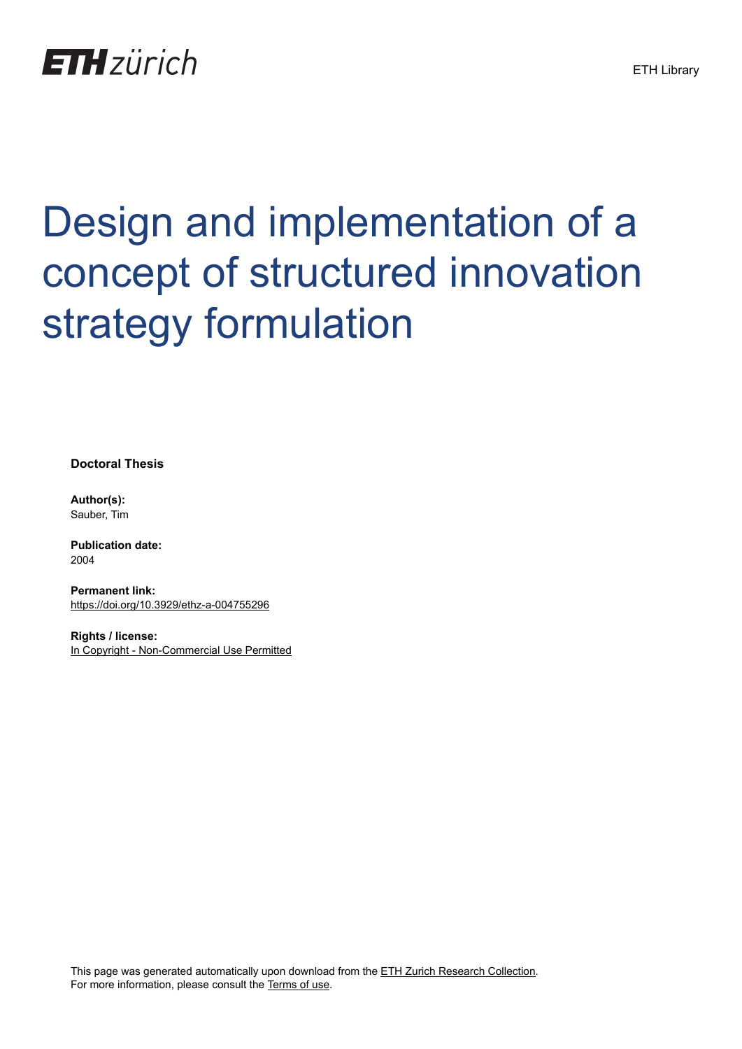

# Design and implementation of a concept of structured innovation strategy formulation

**Doctoral Thesis**

**Author(s):** Sauber, Tim

**Publication date:** 2004

**Permanent link:** <https://doi.org/10.3929/ethz-a-004755296>

**Rights / license:** [In Copyright - Non-Commercial Use Permitted](http://rightsstatements.org/page/InC-NC/1.0/)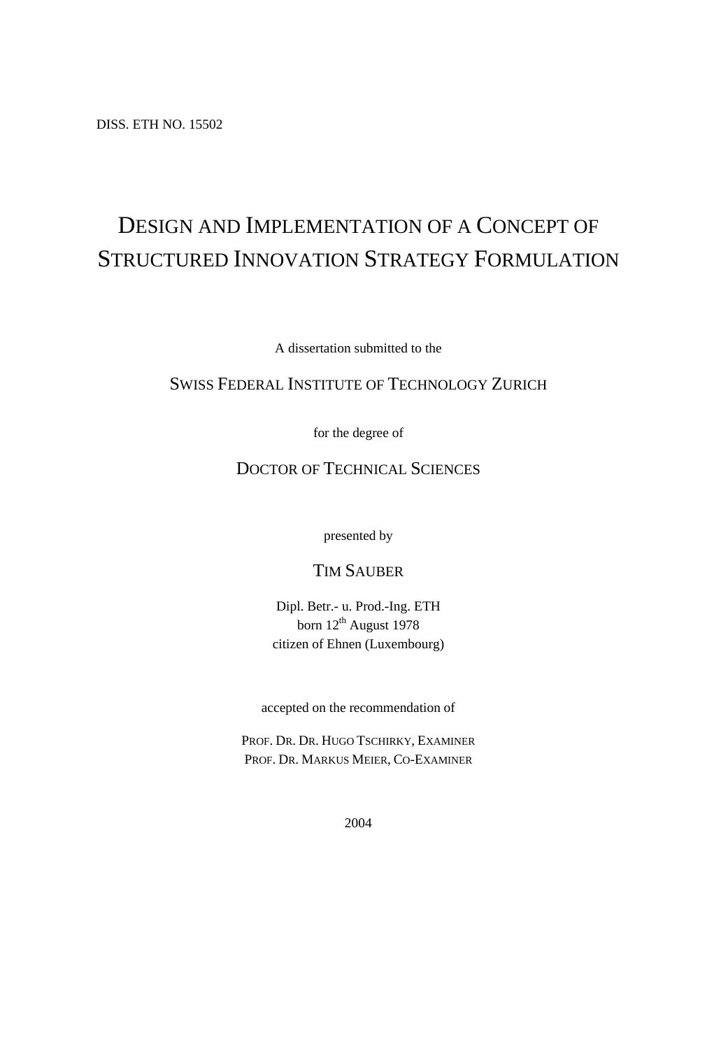DISS. ETH NO. 15502

# DESIGN AND IMPLEMENTATION OF A CONCEPT OF STRUCTURED INNOVATION STRATEGY FORMULATION

A dissertation submitted to the

#### SWISS FEDERAL INSTITUTE OF TECHNOLOGY ZURICH

for the degree of

## DOCTOR OF TECHNICAL SCIENCES

presented by

### TIM SAUBER

Dipl. Betr.- u. Prod.-Ing. ETH born  $12^{th}$  August 1978 citizen of Ehnen (Luxembourg)

accepted on the recommendation of

PROF. DR. DR. HUGO TSCHIRKY, EXAMINER PROF. DR. MARKUS MEIER, CO-EXAMINER

2004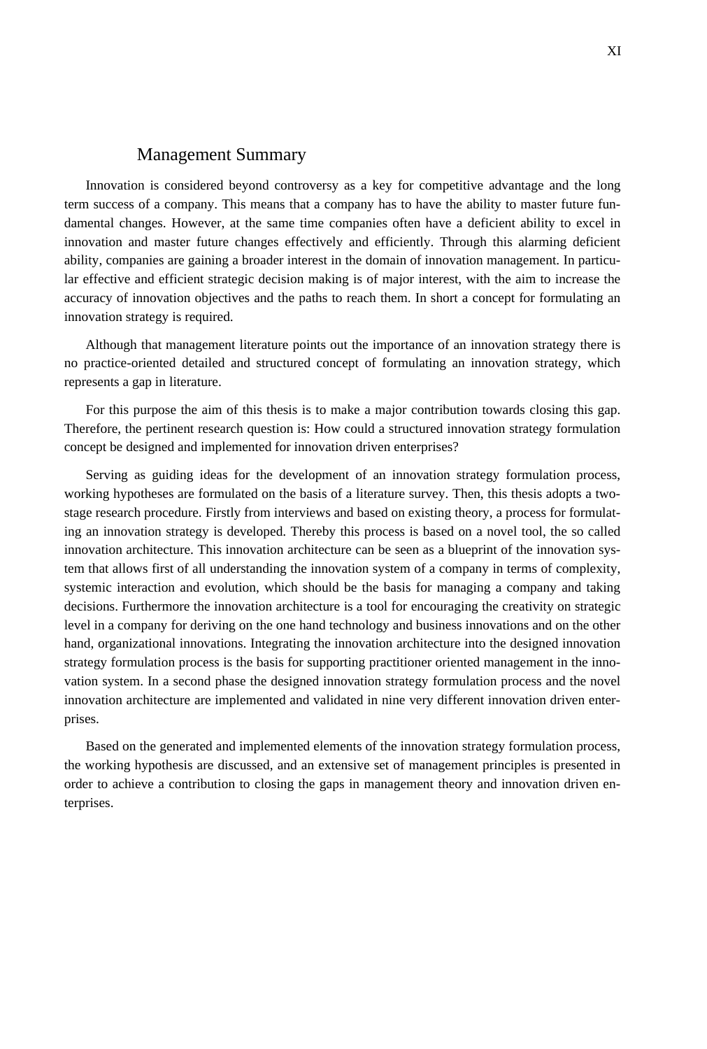#### Management Summary

Innovation is considered beyond controversy as a key for competitive advantage and the long term success of a company. This means that a company has to have the ability to master future fundamental changes. However, at the same time companies often have a deficient ability to excel in innovation and master future changes effectively and efficiently. Through this alarming deficient ability, companies are gaining a broader interest in the domain of innovation management. In particular effective and efficient strategic decision making is of major interest, with the aim to increase the accuracy of innovation objectives and the paths to reach them. In short a concept for formulating an innovation strategy is required.

Although that management literature points out the importance of an innovation strategy there is no practice-oriented detailed and structured concept of formulating an innovation strategy, which represents a gap in literature.

For this purpose the aim of this thesis is to make a major contribution towards closing this gap. Therefore, the pertinent research question is: How could a structured innovation strategy formulation concept be designed and implemented for innovation driven enterprises?

Serving as guiding ideas for the development of an innovation strategy formulation process, working hypotheses are formulated on the basis of a literature survey. Then, this thesis adopts a twostage research procedure. Firstly from interviews and based on existing theory, a process for formulating an innovation strategy is developed. Thereby this process is based on a novel tool, the so called innovation architecture. This innovation architecture can be seen as a blueprint of the innovation system that allows first of all understanding the innovation system of a company in terms of complexity, systemic interaction and evolution, which should be the basis for managing a company and taking decisions. Furthermore the innovation architecture is a tool for encouraging the creativity on strategic level in a company for deriving on the one hand technology and business innovations and on the other hand, organizational innovations. Integrating the innovation architecture into the designed innovation strategy formulation process is the basis for supporting practitioner oriented management in the innovation system. In a second phase the designed innovation strategy formulation process and the novel innovation architecture are implemented and validated in nine very different innovation driven enterprises.

Based on the generated and implemented elements of the innovation strategy formulation process, the working hypothesis are discussed, and an extensive set of management principles is presented in order to achieve a contribution to closing the gaps in management theory and innovation driven enterprises.